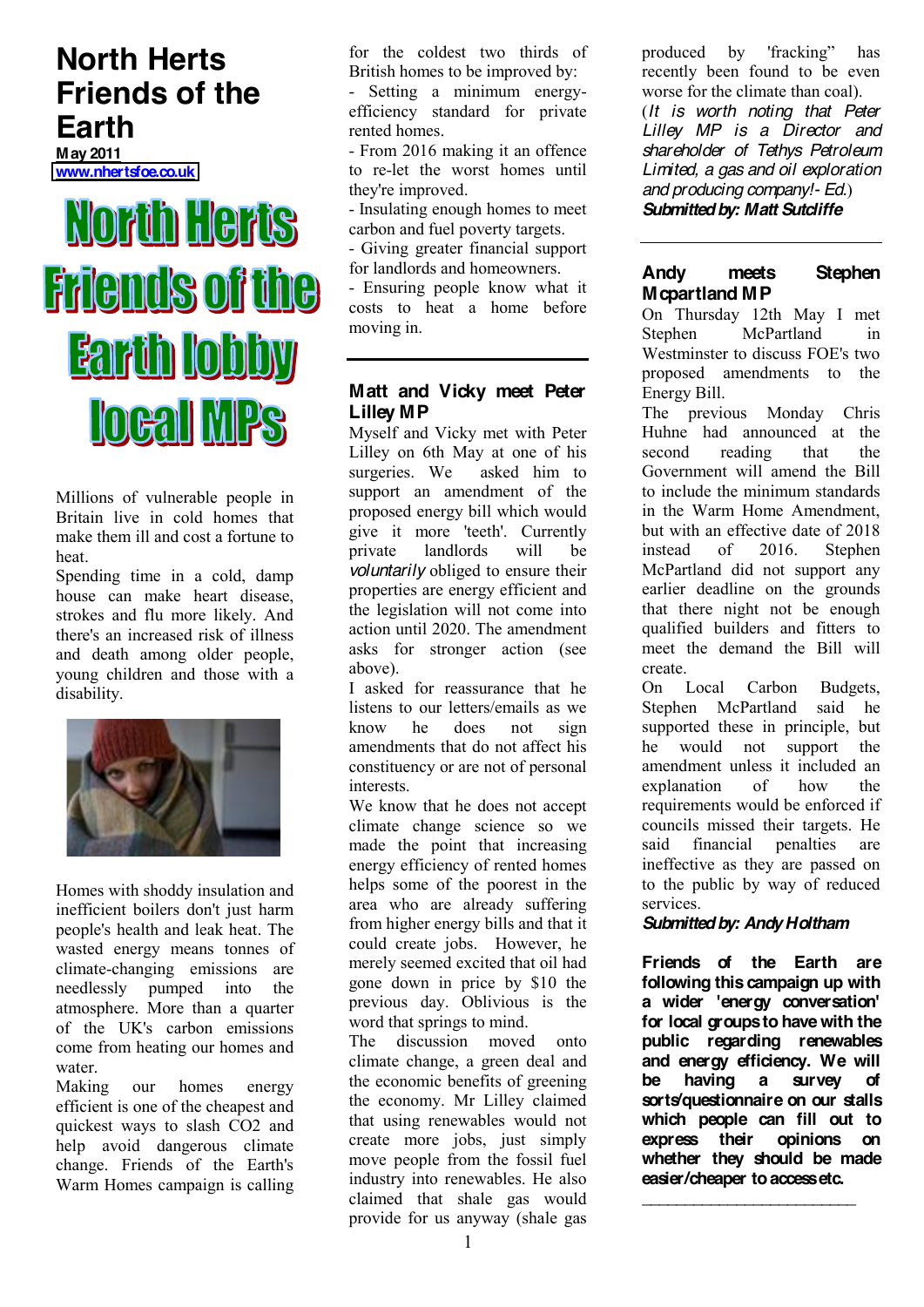# **North Herts Friends of the Earth**

**May 2011 [www.nhertsfoe.co.uk](http://www.nhertsfoe.co.uk/)**

# North Herts **Friends of the Earth lobby IOGAI MPS**

Millions of vulnerable people in Britain live in cold homes that make them ill and cost a fortune to heat.

Spending time in a cold, damp house can make heart disease, strokes and flu more likely. And there's an increased risk of illness and death among older people, young children and those with a disability.



Homes with shoddy insulation and inefficient boilers don't just harm people's health and leak heat. The wasted energy means tonnes of climate-changing emissions are needlessly pumped into the atmosphere. More than a quarter of the UK's carbon emissions come from heating our homes and water.

Making our homes energy efficient is one of the cheapest and quickest ways to slash CO2 and help avoid dangerous climate change. Friends of the Earth's Warm Homes campaign is calling for the coldest two thirds of British homes to be improved by:

- Setting a minimum energyefficiency standard for private rented homes.

- From 2016 making it an offence to re-let the worst homes until they're improved.

- Insulating enough homes to meet carbon and fuel poverty targets.

- Giving greater financial support for landlords and homeowners.

- Ensuring people know what it costs to heat a home before moving in.

# **Matt and Vicky meet Peter Lilley MP**

Myself and Vicky met with Peter Lilley on 6th May at one of his surgeries. We asked him to support an amendment of the proposed energy bill which would give it more 'teeth'. Currently private landlords will be *voluntarily* obliged to ensure their properties are energy efficient and the legislation will not come into action until 2020. The amendment asks for stronger action (see above).

I asked for reassurance that he listens to our letters/emails as we know he does not sign amendments that do not affect his constituency or are not of personal interests.

We know that he does not accept climate change science so we made the point that increasing energy efficiency of rented homes helps some of the poorest in the area who are already suffering from higher energy bills and that it could create jobs. However, he merely seemed excited that oil had gone down in price by \$10 the previous day. Oblivious is the word that springs to mind.

The discussion moved onto climate change, a green deal and the economic benefits of greening the economy. Mr Lilley claimed that using renewables would not create more jobs, just simply move people from the fossil fuel industry into renewables. He also claimed that shale gas would provide for us anyway (shale gas

produced by 'fracking'' has recently been found to be even worse for the climate than coal). (*It is worth noting that Peter Lilley MP is a Director and shareholder of Tethys Petroleum Limited, a gas and oil exploration and producing company!- Ed.*) *Submitted by: Matt Sutcliffe*

# **Andy meets Stephen Mcpartland MP**

On Thursday 12th May I met Stephen McPartland in Westminster to discuss FOE's two proposed amendments to the Energy Bill.

The previous Monday Chris Huhne had announced at the second reading that the Government will amend the Bill to include the minimum standards in the Warm Home Amendment but with an effective date of 2018 instead of 2016. Stephen McPartland did not support any earlier deadline on the grounds that there night not be enough qualified builders and fitters to meet the demand the Bill will create.

On Local Carbon Budgets, Stephen McPartland said he supported these in principle, but he would not support the amendment unless it included an explanation of how the requirements would be enforced if councils missed their targets. He said financial penalties are ineffective as they are passed on to the public by way of reduced services.

# *Submitted by: Andy Holtham*

**Friends of the Earth are following this campaign up with a wider 'energy conversation' for local groups to have with the public regarding renewables and energy efficiency. We will be having a survey of sorts/questionnaire on our stalls which people can fill out to express their opinions on whether they should be made easier/cheaper to access etc.**

**\_\_\_\_\_\_\_\_\_\_\_\_\_\_\_\_\_\_\_\_\_\_\_\_\_**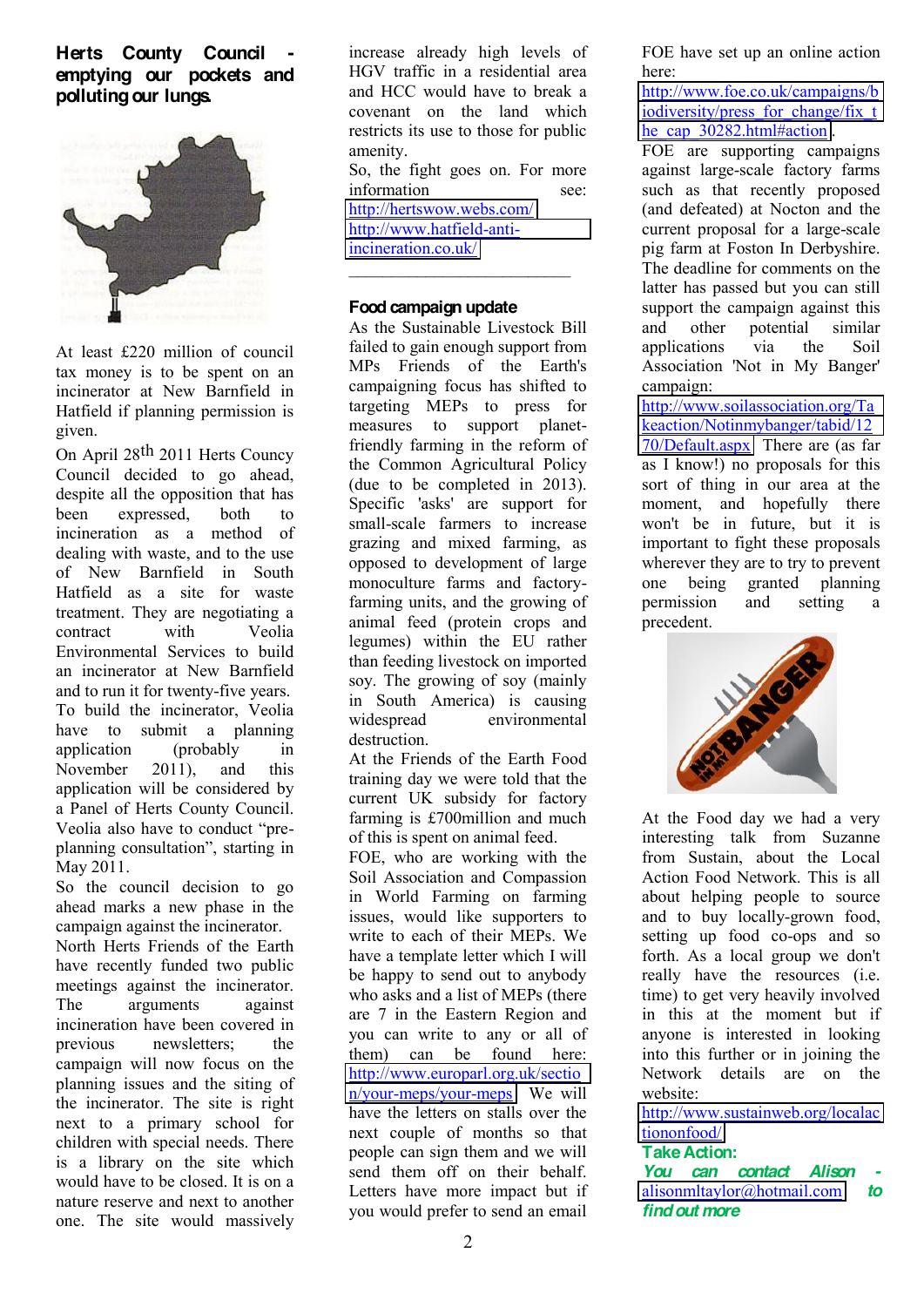# **Herts County Council emptying our pockets and polluting our lungs.**



At least £220 million of council tax money is to be spent on an incinerator at New Barnfield in Hatfield if planning permission is given.

On April 28th 2011 Herts Councy Council decided to go ahead, despite all the opposition that has been expressed, both to incineration as a method of dealing with waste, and to the use of New Barnfield in South Hatfield as a site for waste treatment. They are negotiating a contract with Veolia Environmental Services to build an incinerator at New Barnfield and to run it for twenty-five years. To build the incinerator, Veolia have to submit a planning application (probably in November 2011), and this application will be considered by a Panel of Herts County Council. Veolia also have to conduct "preplanning consultation", starting in May 2011.

So the council decision to go ahead marks a new phase in the campaign against the incinerator.

North Herts Friends of the Earth have recently funded two public meetings against the incinerator. The arguments against incineration have been covered in previous newsletters; the campaign will now focus on the planning issues and the siting of the incinerator. The site is right next to a primary school for children with special needs. There is a library on the site which would have to be closed. It is on a nature reserve and next to another one. The site would massively

increase already high levels of HGV traffic in a residential area and HCC would have to break a covenant on the land which restricts its use to those for public amenity.

So, the fight goes on. For more information see: <http://hertswow.webs.com/>

[http://www.hatfield-anti](http://www.hatfield-anti-incineration.co.uk/)incineration.co.uk/  $\mathcal{L}_\text{max}$ 

#### **Food campaign update**

As the Sustainable Livestock Bill failed to gain enough support from MPs Friends of the Earth's campaigning focus has shifted to targeting MEPs to press for measures to support planetfriendly farming in the reform of the Common Agricultural Policy (due to be completed in 2013). Specific 'asks' are support for small-scale farmers to increase grazing and mixed farming, as opposed to development of large monoculture farms and factoryfarming units, and the growing of animal feed (protein crops and legumes) within the EU rather than feeding livestock on imported soy. The growing of soy (mainly in South America) is causing widespread environmental destruction.

At the Friends of the Earth Food training day we were told that the current UK subsidy for factory farming is £700million and much of this is spent on animal feed.

FOE, who are working with the Soil Association and Compassion in World Farming on farming issues, would like supporters to write to each of their MEPs. We have a template letter which I will be happy to send out to anybody who asks and a list of MEPs (there are 7 in the Eastern Region and you can write to any or all of them) can be found here: [http://www.europarl.org.uk/sectio](http://www.europarl.org.uk/section/your-meps/your-meps) [n/your-meps/your-meps](http://www.europarl.org.uk/section/your-meps/your-meps) We will have the letters on stalls over the next couple of months so that people can sign them and we will send them off on their behalf. Letters have more impact but if you would prefer to send an email FOE have set up an online action here:

[http://www.foe.co.uk/campaigns/b](http://www.foe.co.uk/campaigns/biodiversity/press_for_change/fix_the_cap_30282.html#action) [iodiversity/press\\_for\\_change/fix\\_t](http://www.foe.co.uk/campaigns/biodiversity/press_for_change/fix_the_cap_30282.html#action) [he\\_cap\\_30282.html#action](http://www.foe.co.uk/campaigns/biodiversity/press_for_change/fix_the_cap_30282.html#action) .

FOE are supporting campaigns against large-scale factory farms such as that recently proposed (and defeated) at Nocton and the current proposal for a large-scale pig farm at Foston In Derbyshire. The deadline for comments on the latter has passed but you can still support the campaign against this and other potential similar applications via the Soil Association 'Not in My Banger' campaign:

[http://www.soilassociation.org/Ta](http://www.soilassociation.org/Takeaction/Notinmybanger/tabid/1270/Default.aspx) [keaction/Notinmybanger/tabid/12](http://www.soilassociation.org/Takeaction/Notinmybanger/tabid/1270/Default.aspx) [70/Default.aspx](http://www.soilassociation.org/Takeaction/Notinmybanger/tabid/1270/Default.aspx) There are (as far as I know!) no proposals for this sort of thing in our area at the moment, and hopefully there won't be in future, but it is important to fight these proposals wherever they are to try to prevent one being granted planning permission and setting a precedent.



At the Food day we had a very interesting talk from Suzanne from Sustain, about the Local Action Food Network. This is all about helping people to source and to buy locally-grown food, setting up food co-ops and so forth. As a local group we don't really have the resources (i.e. time) to get very heavily involved in this at the moment but if anyone is interested in looking into this further or in joining the Network details are on the website:

[http://www.sustainweb.org/localac](http://www.sustainweb.org/localactiononfood/) [tiononfood/](http://www.sustainweb.org/localactiononfood/)

#### **Take Action:**

*You can contact Alison* [alisonmltaylor@hotmail.com](mailto:alisonmltaylor@hotmail.com) *to find out more*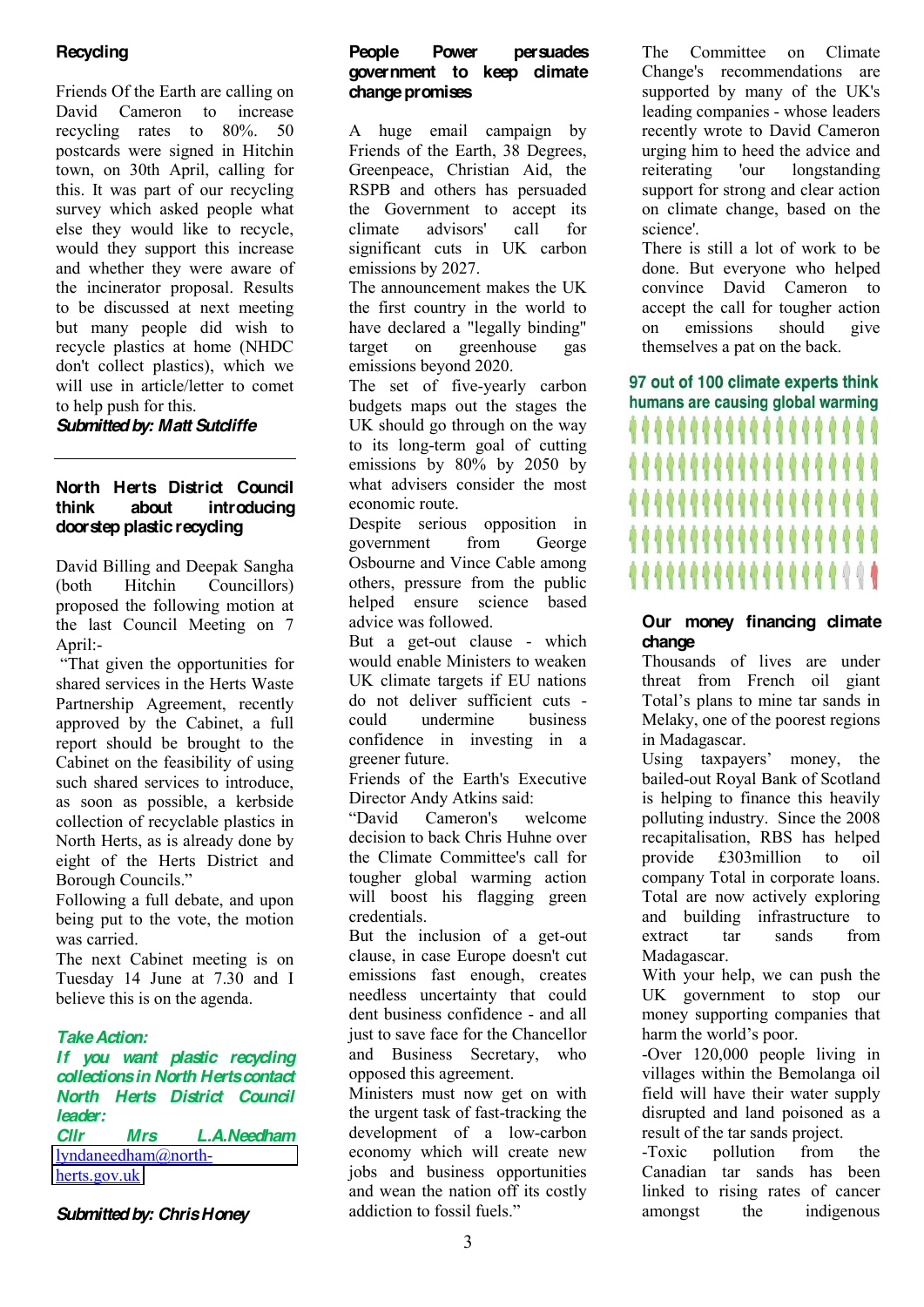# **Recycling**

Friends Of the Earth are calling on David Cameron to increase recycling rates to 80%. 50 postcards were signed in Hitchin town, on 30th April, calling for this. It was part of our recycling survey which asked people what else they would like to recycle, would they support this increase and whether they were aware of the incinerator proposal. Results to be discussed at next meeting but many people did wish to recycle plastics at home (NHDC don't collect plastics), which we will use in article/letter to comet to help push for this.

*Submitted by: Matt Sutcliffe*

#### **North Herts District Council think about introducing doorstep plastic recycling**

David Billing and Deepak Sangha (both Hitchin Councillors) proposed the following motion at the last Council Meeting on 7 April:-

³That given the opportunities for shared services in the Herts Waste Partnership Agreement, recently approved by the Cabinet, a full report should be brought to the Cabinet on the feasibility of using such shared services to introduce, as soon as possible, a kerbside collection of recyclable plastics in North Herts, as is already done by eight of the Herts District and Borough Councils<sup>"</sup>

Following a full debate, and upon being put to the vote, the motion was carried.

The next Cabinet meeting is on Tuesday 14 June at 7.30 and I believe this is on the agenda.

# *Take Action:*

*If you want plastic recycling collections in North Herts contact North Herts District Council leader: Cllr Mrs L.A.Needham* [lyndaneedham@north-](mailto:lyndaneedham@north-herts.gov.uk)

[herts.gov.uk](mailto:lyndaneedham@north-herts.gov.uk)

#### *Submitted by: Chris Honey*

#### **People Power persuades government to keep climate change promises**

A huge email campaign by Friends of the Earth, 38 Degrees, Greenpeace, Christian Aid, the RSPB and others has persuaded the Government to accept its climate advisors' call for significant cuts in UK carbon emissions by 2027.

The announcement makes the UK the first country in the world to have declared a "legally binding" target on greenhouse gas emissions beyond 2020.

The set of five-yearly carbon budgets maps out the stages the UK should go through on the way to its long-term goal of cutting emissions by 80% by 2050 by what advisers consider the most economic route.

Despite serious opposition in government from George Osbourne and Vince Cable among others, pressure from the public helped ensure science based advice was followed.

But a get-out clause - which would enable Ministers to weaken UK climate targets if EU nations do not deliver sufficient cuts could undermine business confidence in investing in a greener future.

Friends of the Earth's Executive Director Andy Atkins said:

³David Cameron's welcome decision to back Chris Huhne over the Climate Committee's call for tougher global warming action will boost his flagging green credentials.

But the inclusion of a get-out clause, in case Europe doesn't cut emissions fast enough, creates needless uncertainty that could dent business confidence - and all just to save face for the Chancellor and Business Secretary, who opposed this agreement.

Ministers must now get on with the urgent task of fast-tracking the development of a low-carbon economy which will create new jobs and business opportunities and wean the nation off its costly addiction to fossil fuels."

The Committee on Climate Change's recommendations are supported by many of the UK's leading companies - whose leaders recently wrote to David Cameron urging him to heed the advice and reiterating 'our longstanding support for strong and clear action on climate change, based on the science'.

There is still a lot of work to be done. But everyone who helped convince David Cameron to accept the call for tougher action on emissions should give themselves a pat on the back.

97 out of 100 climate experts think humans are causing global warming ,,,,,,,,,,  $000000000$ ,,,,,,,,,,,,, ,,,,,,,,,,,,,,,,,

#### **Our money financing climate change**

Thousands of lives are under threat from French oil giant Total's plans to mine tar sands in Melaky, one of the poorest regions in Madagascar.

Using  $taxpayers'$  money, the bailed-out Royal Bank of Scotland is helping to finance this heavily polluting industry. Since the 2008 recapitalisation, RBS has helped provide £303million to oil company Total in corporate loans. Total are now actively exploring and building infrastructure to extract tar sands from Madagascar.

With your help, we can push the UK government to stop our money supporting companies that harm the world's poor.

-Over 120,000 people living in villages within the Bemolanga oil field will have their water supply disrupted and land poisoned as a result of the tar sands project.

-Toxic pollution from the Canadian tar sands has been linked to rising rates of cancer amongst the indigenous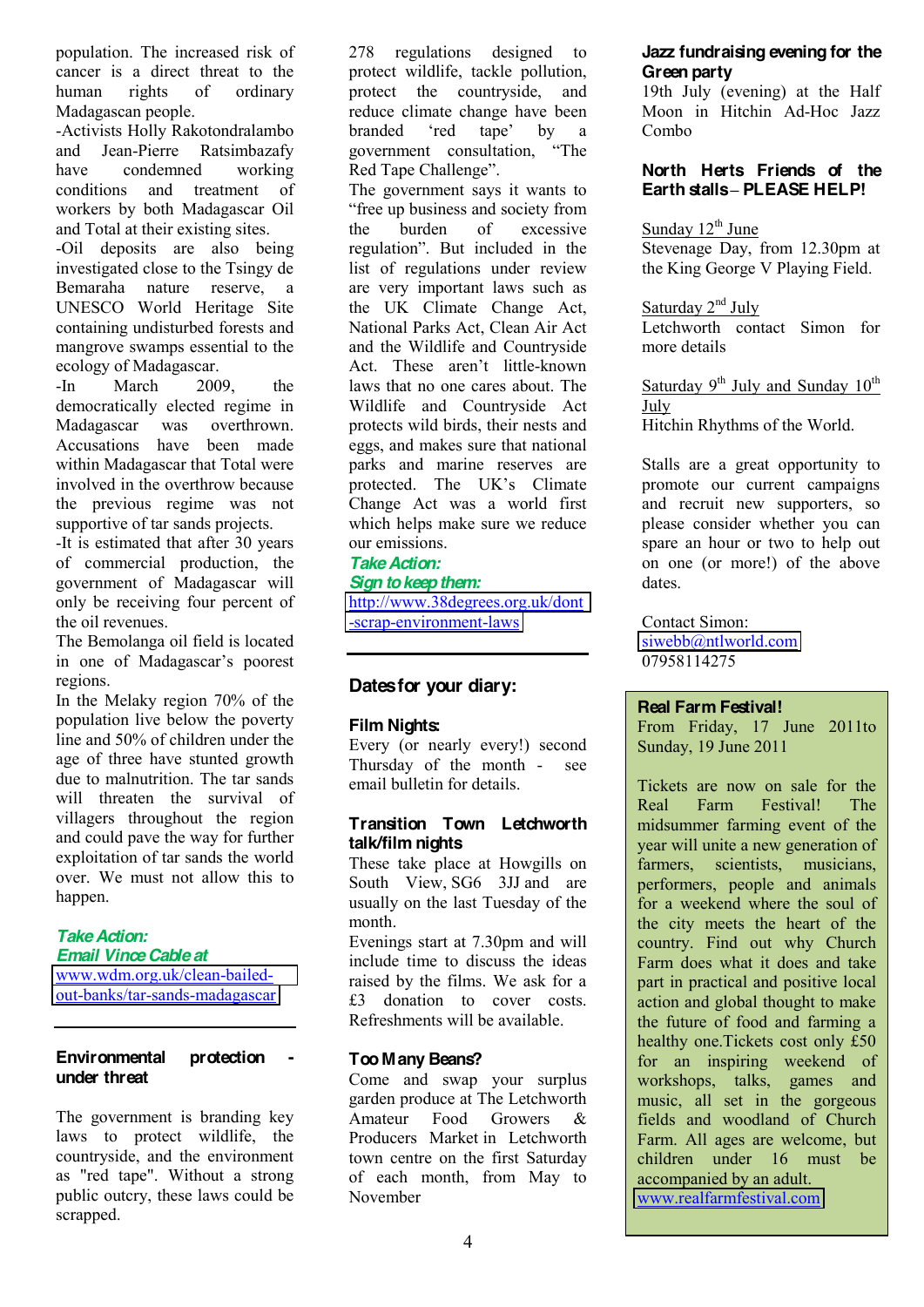population. The increased risk of cancer is a direct threat to the human rights of ordinary Madagascan people.

-Activists Holly Rakotondralambo and Jean-Pierre Ratsimbazafy have condemned working conditions and treatment of workers by both Madagascar Oil and Total at their existing sites.

-Oil deposits are also being investigated close to the Tsingy de Bemaraha nature reserve, a UNESCO World Heritage Site containing undisturbed forests and mangrove swamps essential to the ecology of Madagascar.

-In March 2009, the democratically elected regime in Madagascar was overthrown. Accusations have been made within Madagascar that Total were involved in the overthrow because the previous regime was not supportive of tar sands projects.

-It is estimated that after 30 years of commercial production, the government of Madagascar will only be receiving four percent of the oil revenues.

The Bemolanga oil field is located in one of Madagascar's poorest regions.

In the Melaky region 70% of the population live below the poverty line and 50% of children under the age of three have stunted growth due to malnutrition. The tar sands will threaten the survival of villagers throughout the region and could pave the way for further exploitation of tar sands the world over. We must not allow this to happen.

#### *Take Action: Email Vince Cable at*

[www.wdm.org.uk/clean-bailed](http://www.wdm.org.uk/clean-bailed-out-banks/tar-sands-madagascar)[out-banks/tar-sands-madagascar](http://www.wdm.org.uk/clean-bailed-out-banks/tar-sands-madagascar)

#### **Environmental protection under threat**

The government is branding key laws to protect wildlife, the countryside, and the environment as "red tape". Without a strong public outcry, these laws could be scrapped.

278 regulations designed to protect wildlife, tackle pollution, protect the countryside, and reduce climate change have been branded 'red tane' by a government consultation, "The Red Tape Challenge".

The government says it wants to "free up business and society from the burden of excessive regulation". But included in the list of regulations under review are very important laws such as the UK Climate Change Act, National Parks Act, Clean Air Act and the Wildlife and Countryside Act. These aren't little-known laws that no one cares about. The Wildlife and Countryside Act protects wild birds, their nests and eggs, and makes sure that national parks and marine reserves are protected. The UK's Climate Change Act was a world first which helps make sure we reduce our emissions.

#### *Take Action:*

*Sign to keep them:*

[http://www.38degrees.org.uk/dont](http://www.38degrees.org.uk/dont-scrap-environment-laws) [-scrap-environment-laws](http://www.38degrees.org.uk/dont-scrap-environment-laws)

# **Dates for your diary:**

#### **Film Nights:**

Every (or nearly every!) second Thursday of the month - see email bulletin for details.

#### **Transition Town Letchworth talk/film nights**

These take place at Howgills on South View, SG6 3JJ and are usually on the last Tuesday of the month.

Evenings start at 7.30pm and will include time to discuss the ideas raised by the films. We ask for a £3 donation to cover costs. Refreshments will be available.

#### **Too Many Beans?**

Come and swap your surplus garden produce at The Letchworth Amateur Food Growers & Producers Market in Letchworth town centre on the first Saturday of each month, from May to November

#### **Jazz fundraising evening for the Green party**

19th July (evening) at the Half Moon in Hitchin Ad-Hoc Jazz Combo

#### **North Herts Friends of the Earth stalls± PLEASE HELP!**

Sunday  $12<sup>th</sup>$  June Stevenage Day, from 12.30pm at the King George V Playing Field.

Saturday 2<sup>nd</sup> July Letchworth contact Simon for more details

Saturday  $9^{th}$  July and Sunday  $10^{th}$ July

Hitchin Rhythms of the World.

Stalls are a great opportunity to promote our current campaigns and recruit new supporters, so please consider whether you can spare an hour or two to help out on one (or more!) of the above dates.

Contact Simon: [siwebb@ntlworld.com](mailto:siwebb@ntlworld.com)  07958114275

#### **Real Farm Festival!**

From Friday, 17 June 2011to Sunday, 19 June 2011

Tickets are now on sale for the Real Farm Festival! The midsummer farming event of the year will unite a new generation of farmers, scientists, musicians, performers, people and animals for a weekend where the soul of the city meets the heart of the country. Find out why Church Farm does what it does and take part in practical and positive local action and global thought to make the future of food and farming a healthy one.Tickets cost only £50 for an inspiring weekend of workshops, talks, games and music, all set in the gorgeous fields and woodland of Church Farm. All ages are welcome, but children under 16 must be accompanied by an adult. [www.realfarmfestival.com](http://www.realfarmfestival.com/)